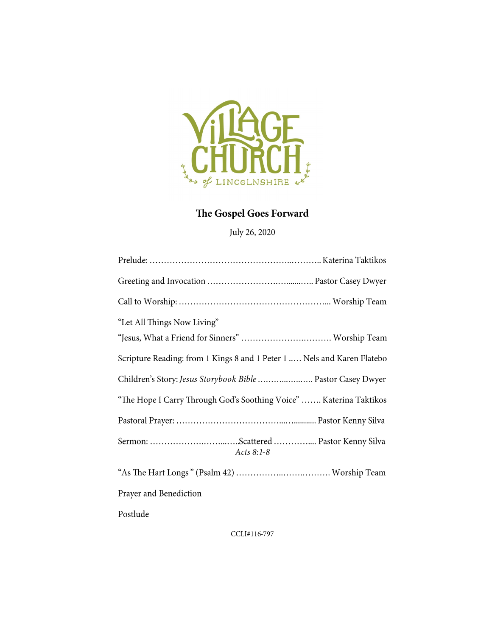

## The Gospel Goes Forward

July 26, 2020

| "Let All Things Now Living"                                             |
|-------------------------------------------------------------------------|
| "Jesus, What a Friend for Sinners"  Worship Team                        |
| Scripture Reading: from 1 Kings 8 and 1 Peter 1  Nels and Karen Flatebo |
| Children's Story: Jesus Storybook Bible  Pastor Casey Dwyer             |
| "The Hope I Carry Through God's Soothing Voice"  Katerina Taktikos      |
|                                                                         |
| Sermon: Scattered  Pastor Kenny Silva<br>Acts 8:1-8                     |
|                                                                         |
| Prayer and Benediction                                                  |
| Postlude                                                                |

CCLI#116-797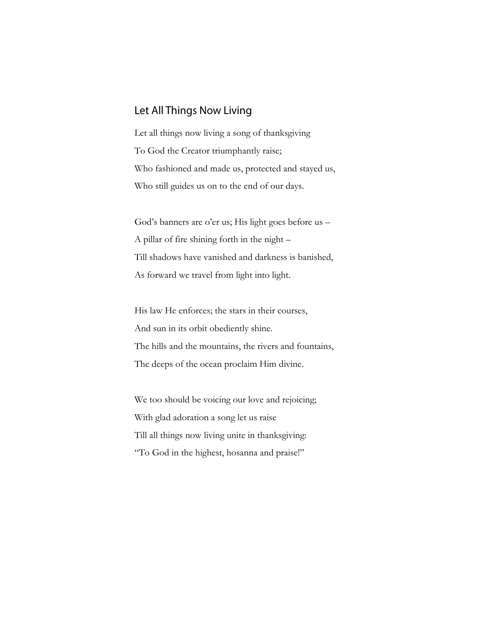## Let All Things Now Living

Let all things now living a song of thanksgiving To God the Creator triumphantly raise; Who fashioned and made us, protected and stayed us, Who still guides us on to the end of our days.

God's banners are o'er us; His light goes before us – A pillar of fire shining forth in the night – Till shadows have vanished and darkness is banished, As forward we travel from light into light.

His law He enforces; the stars in their courses, And sun in its orbit obediently shine. The hills and the mountains, the rivers and fountains, The deeps of the ocean proclaim Him divine.

We too should be voicing our love and rejoicing; With glad adoration a song let us raise Till all things now living unite in thanksgiving: "To God in the highest, hosanna and praise!"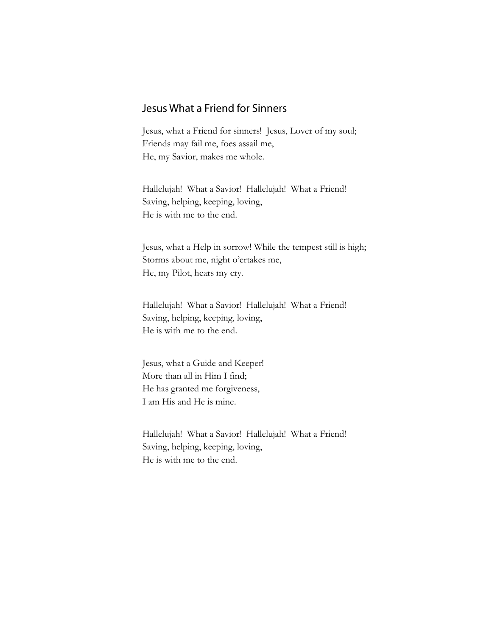## Jesus What a Friend for Sinners

Jesus, what a Friend for sinners! Jesus, Lover of my soul; Friends may fail me, foes assail me, He, my Savior, makes me whole.

Hallelujah! What a Savior! Hallelujah! What a Friend! Saving, helping, keeping, loving, He is with me to the end.

Jesus, what a Help in sorrow! While the tempest still is high; Storms about me, night o'ertakes me, He, my Pilot, hears my cry.

Hallelujah! What a Savior! Hallelujah! What a Friend! Saving, helping, keeping, loving, He is with me to the end.

Jesus, what a Guide and Keeper! More than all in Him I find; He has granted me forgiveness, I am His and He is mine.

Hallelujah! What a Savior! Hallelujah! What a Friend! Saving, helping, keeping, loving, He is with me to the end.